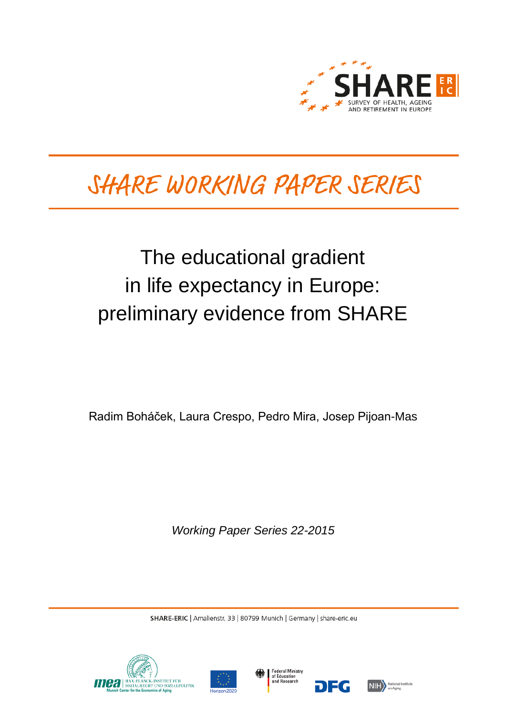

# SHARE WORKING PAPER SERIES

# The educational gradient in life expectancy in Europe: preliminary evidence from SHARE

Radim Boháček, Laura Crespo, Pedro Mira, Josep Pijoan-Mas

*Working Paper Series 22-2015*

SHARE-ERIC | Amalienstr. 33 | 80799 Munich | Germany | share-eric.eu







DEG

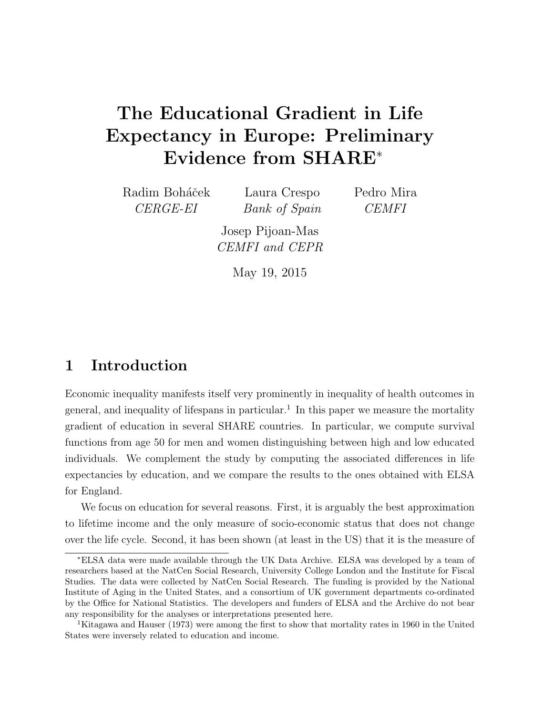## The Educational Gradient in Life Expectancy in Europe: Preliminary Evidence from SHARE<sup>∗</sup>

Radim Boháček CERGE-EI

Laura Crespo Bank of Spain Pedro Mira CEMFI

Josep Pijoan-Mas CEMFI and CEPR

May 19, 2015

#### 1 Introduction

Economic inequality manifests itself very prominently in inequality of health outcomes in general, and inequality of lifespans in particular.<sup>1</sup> In this paper we measure the mortality gradient of education in several SHARE countries. In particular, we compute survival functions from age 50 for men and women distinguishing between high and low educated individuals. We complement the study by computing the associated differences in life expectancies by education, and we compare the results to the ones obtained with ELSA for England.

We focus on education for several reasons. First, it is arguably the best approximation to lifetime income and the only measure of socio-economic status that does not change over the life cycle. Second, it has been shown (at least in the US) that it is the measure of

<sup>∗</sup>ELSA data were made available through the UK Data Archive. ELSA was developed by a team of researchers based at the NatCen Social Research, University College London and the Institute for Fiscal Studies. The data were collected by NatCen Social Research. The funding is provided by the National Institute of Aging in the United States, and a consortium of UK government departments co-ordinated by the Office for National Statistics. The developers and funders of ELSA and the Archive do not bear any responsibility for the analyses or interpretations presented here.

<sup>&</sup>lt;sup>1</sup>Kitagawa and Hauser (1973) were among the first to show that mortality rates in 1960 in the United States were inversely related to education and income.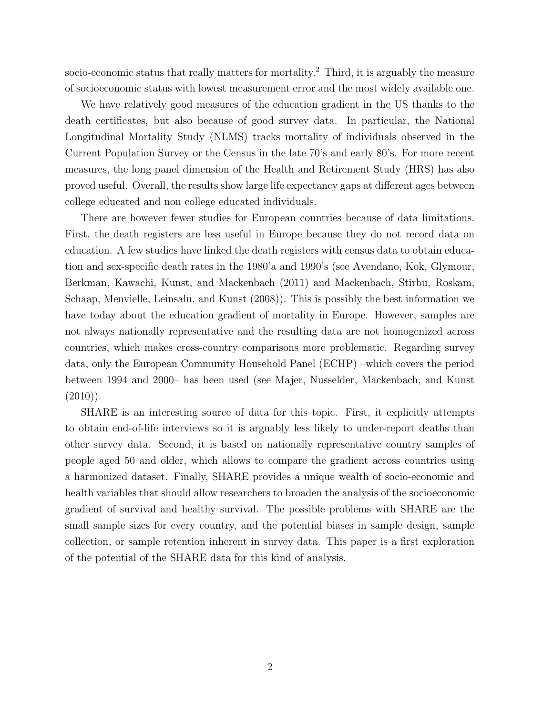socio-economic status that really matters for mortality.<sup>2</sup> Third, it is arguably the measure of socioeconomic status with lowest measurement error and the most widely available one.

We have relatively good measures of the education gradient in the US thanks to the death certificates, but also because of good survey data. In particular, the National Longitudinal Mortality Study (NLMS) tracks mortality of individuals observed in the Current Population Survey or the Census in the late 70's and early 80's. For more recent measures, the long panel dimension of the Health and Retirement Study (HRS) has also proved useful. Overall, the results show large life expectancy gaps at different ages between college educated and non college educated individuals.

There are however fewer studies for European countries because of data limitations. First, the death registers are less useful in Europe because they do not record data on education. A few studies have linked the death registers with census data to obtain education and sex-specific death rates in the 1980'a and 1990's (see Avendano, Kok, Glymour, Berkman, Kawachi, Kunst, and Mackenbach (2011) and Mackenbach, Stirbu, Roskam, Schaap, Menvielle, Leinsalu, and Kunst (2008)). This is possibly the best information we have today about the education gradient of mortality in Europe. However, samples are not always nationally representative and the resulting data are not homogenized across countries, which makes cross-country comparisons more problematic. Regarding survey data, only the European Community Household Panel (ECHP) –which covers the period between 1994 and 2000– has been used (see Majer, Nusselder, Mackenbach, and Kunst  $(2010)$ .

SHARE is an interesting source of data for this topic. First, it explicitly attempts to obtain end-of-life interviews so it is arguably less likely to under-report deaths than other survey data. Second, it is based on nationally representative country samples of people aged 50 and older, which allows to compare the gradient across countries using a harmonized dataset. Finally, SHARE provides a unique wealth of socio-economic and health variables that should allow researchers to broaden the analysis of the socioeconomic gradient of survival and healthy survival. The possible problems with SHARE are the small sample sizes for every country, and the potential biases in sample design, sample collection, or sample retention inherent in survey data. This paper is a first exploration of the potential of the SHARE data for this kind of analysis.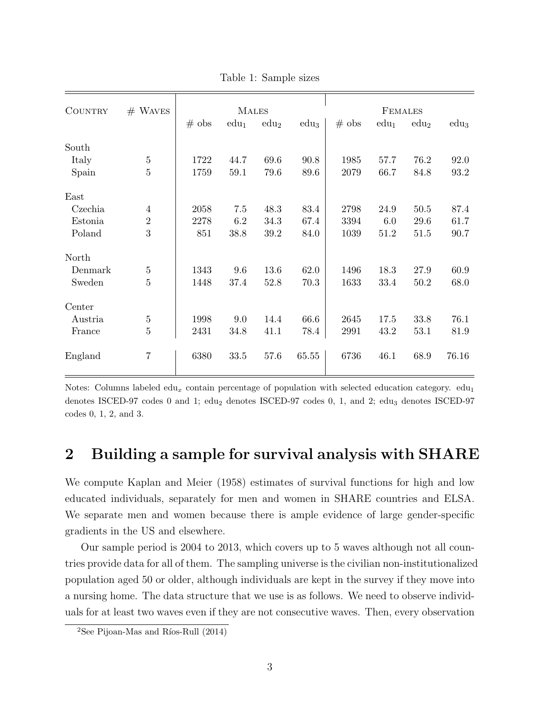| <b>COUNTRY</b> | $#$ WAVES      | <b>MALES</b> |         |                  |                  | <b>FEMALES</b> |         |                  |                |
|----------------|----------------|--------------|---------|------------------|------------------|----------------|---------|------------------|----------------|
|                |                | $#$ obs      | $edu_1$ | edu <sub>2</sub> | edu <sub>3</sub> | $#$ obs        | $edu_1$ | edu <sub>2</sub> | $_{\rm edu_3}$ |
| South          |                |              |         |                  |                  |                |         |                  |                |
| Italy          | $\bf 5$        | 1722         | 44.7    | 69.6             | 90.8             | 1985           | 57.7    | 76.2             | 92.0           |
| Spain          | $\overline{5}$ | 1759         | 59.1    | 79.6             | 89.6             | 2079           | 66.7    | 84.8             | 93.2           |
| East           |                |              |         |                  |                  |                |         |                  |                |
| Czechia        | $\overline{4}$ | 2058         | 7.5     | 48.3             | 83.4             | 2798           | 24.9    | $50.5$           | 87.4           |
| Estonia        | $\sqrt{2}$     | 2278         | 6.2     | 34.3             | 67.4             | 3394           | 6.0     | 29.6             | 61.7           |
| Poland         | 3              | 851          | 38.8    | 39.2             | 84.0             | 1039           | 51.2    | 51.5             | 90.7           |
| North          |                |              |         |                  |                  |                |         |                  |                |
| Denmark        | $\bf 5$        | 1343         | 9.6     | 13.6             | 62.0             | 1496           | 18.3    | 27.9             | 60.9           |
| Sweden         | $\overline{5}$ | 1448         | 37.4    | 52.8             | 70.3             | 1633           | 33.4    | 50.2             | 68.0           |
| Center         |                |              |         |                  |                  |                |         |                  |                |
| Austria        | $\bf 5$        | 1998         | 9.0     | 14.4             | 66.6             | 2645           | 17.5    | 33.8             | 76.1           |
| France         | $\overline{5}$ | 2431         | 34.8    | 41.1             | 78.4             | 2991           | 43.2    | 53.1             | 81.9           |
| England        | $\overline{7}$ | 6380         | 33.5    | 57.6             | 65.55            | 6736           | 46.1    | 68.9             | 76.16          |

Table 1: Sample sizes

Notes: Columns labeled edu<sub>x</sub> contain percentage of population with selected education category.  $edu_1$ denotes ISCED-97 codes 0 and 1;  $edu_2$  denotes ISCED-97 codes 0, 1, and 2;  $edu_3$  denotes ISCED-97 codes 0, 1, 2, and 3.

#### 2 Building a sample for survival analysis with SHARE

We compute Kaplan and Meier (1958) estimates of survival functions for high and low educated individuals, separately for men and women in SHARE countries and ELSA. We separate men and women because there is ample evidence of large gender-specific gradients in the US and elsewhere.

Our sample period is 2004 to 2013, which covers up to 5 waves although not all countries provide data for all of them. The sampling universe is the civilian non-institutionalized population aged 50 or older, although individuals are kept in the survey if they move into a nursing home. The data structure that we use is as follows. We need to observe individuals for at least two waves even if they are not consecutive waves. Then, every observation

 $2$ See Pijoan-Mas and Ríos-Rull (2014)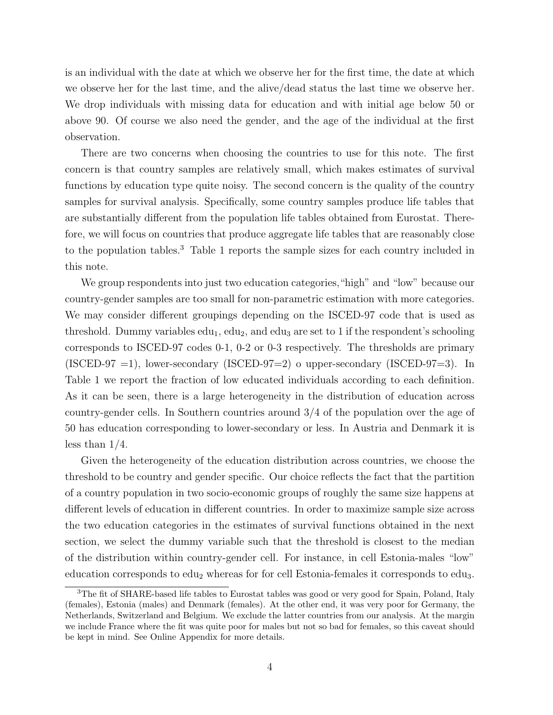is an individual with the date at which we observe her for the first time, the date at which we observe her for the last time, and the alive/dead status the last time we observe her. We drop individuals with missing data for education and with initial age below 50 or above 90. Of course we also need the gender, and the age of the individual at the first observation.

There are two concerns when choosing the countries to use for this note. The first concern is that country samples are relatively small, which makes estimates of survival functions by education type quite noisy. The second concern is the quality of the country samples for survival analysis. Specifically, some country samples produce life tables that are substantially different from the population life tables obtained from Eurostat. Therefore, we will focus on countries that produce aggregate life tables that are reasonably close to the population tables.<sup>3</sup> Table 1 reports the sample sizes for each country included in this note.

We group respondents into just two education categories,"high" and "low" because our country-gender samples are too small for non-parametric estimation with more categories. We may consider different groupings depending on the ISCED-97 code that is used as threshold. Dummy variables  $edu_1, edu_2$ , and  $edu_3$  are set to 1 if the respondent's schooling corresponds to ISCED-97 codes 0-1, 0-2 or 0-3 respectively. The thresholds are primary  $(ISCED-97 = 1)$ , lower-secondary  $(ISCED-97=2)$  o upper-secondary  $(ISCED-97=3)$ . In Table 1 we report the fraction of low educated individuals according to each definition. As it can be seen, there is a large heterogeneity in the distribution of education across country-gender cells. In Southern countries around 3/4 of the population over the age of 50 has education corresponding to lower-secondary or less. In Austria and Denmark it is less than  $1/4$ .

Given the heterogeneity of the education distribution across countries, we choose the threshold to be country and gender specific. Our choice reflects the fact that the partition of a country population in two socio-economic groups of roughly the same size happens at different levels of education in different countries. In order to maximize sample size across the two education categories in the estimates of survival functions obtained in the next section, we select the dummy variable such that the threshold is closest to the median of the distribution within country-gender cell. For instance, in cell Estonia-males "low" education corresponds to  $edu_2$  whereas for for cell Estonia-females it corresponds to  $edu_3$ .

<sup>&</sup>lt;sup>3</sup>The fit of SHARE-based life tables to Eurostat tables was good or very good for Spain, Poland, Italy (females), Estonia (males) and Denmark (females). At the other end, it was very poor for Germany, the Netherlands, Switzerland and Belgium. We exclude the latter countries from our analysis. At the margin we include France where the fit was quite poor for males but not so bad for females, so this caveat should be kept in mind. See Online Appendix for more details.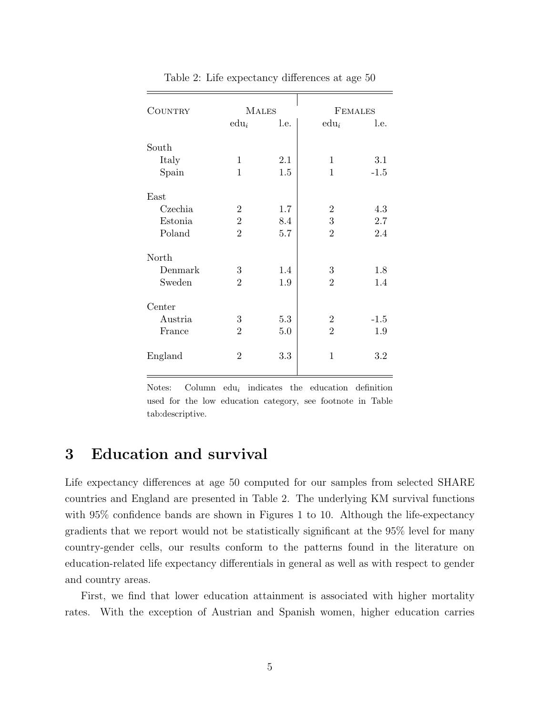| COUNTRY | <b>MALES</b>   |      | <b>FEMALES</b> |        |  |
|---------|----------------|------|----------------|--------|--|
|         | $edu_i$        | l.e. | $edu_i$        | l.e.   |  |
| South   |                |      |                |        |  |
| Italy   | $\mathbf 1$    | 2.1  | 1              | 3.1    |  |
| Spain   | $\mathbf{1}$   | 1.5  | 1              | $-1.5$ |  |
| East    |                |      |                |        |  |
| Czechia | $\overline{2}$ | 1.7  | $\overline{2}$ | 4.3    |  |
| Estonia | $\overline{2}$ | 8.4  | 3              | 2.7    |  |
| Poland  | $\overline{2}$ | 5.7  | $\overline{2}$ | 2.4    |  |
| North   |                |      |                |        |  |
| Denmark | 3              | 1.4  | 3              | 1.8    |  |
| Sweden  | $\overline{2}$ | 1.9  | $\overline{2}$ | 1.4    |  |
| Center  |                |      |                |        |  |
| Austria | 3              | 5.3  | $\overline{2}$ | $-1.5$ |  |
| France  | $\overline{2}$ | 5.0  | $\overline{2}$ | 1.9    |  |
| England | $\overline{2}$ | 3.3  | $\mathbf{1}$   | 3.2    |  |
|         |                |      |                |        |  |

Table 2: Life expectancy differences at age 50

Notes: Column  $edu_i$  indicates the education definition used for the low education category, see footnote in Table tab:descriptive.

### 3 Education and survival

Life expectancy differences at age 50 computed for our samples from selected SHARE countries and England are presented in Table 2. The underlying KM survival functions with  $95\%$  confidence bands are shown in Figures 1 to 10. Although the life-expectancy gradients that we report would not be statistically significant at the 95% level for many country-gender cells, our results conform to the patterns found in the literature on education-related life expectancy differentials in general as well as with respect to gender and country areas.

First, we find that lower education attainment is associated with higher mortality rates. With the exception of Austrian and Spanish women, higher education carries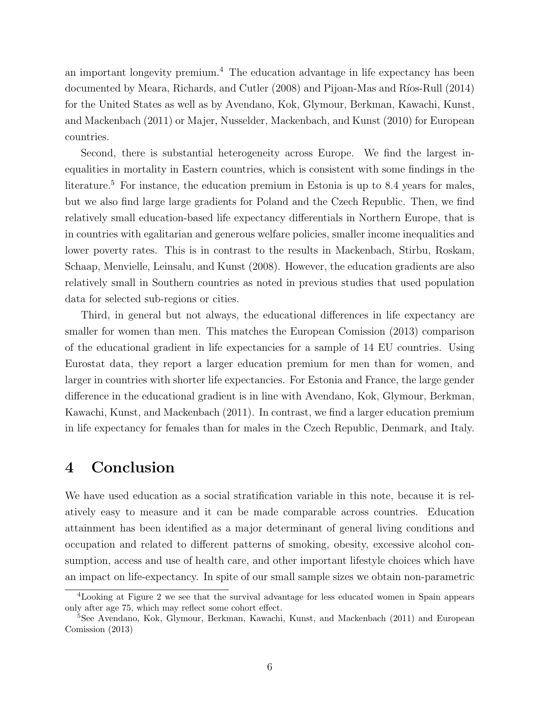an important longevity premium.<sup>4</sup> The education advantage in life expectancy has been documented by Meara, Richards, and Cutler (2008) and Pijoan-Mas and Ríos-Rull (2014) for the United States as well as by Avendano, Kok, Glymour, Berkman, Kawachi, Kunst, and Mackenbach (2011) or Majer, Nusselder, Mackenbach, and Kunst (2010) for European countries.

Second, there is substantial heterogeneity across Europe. We find the largest inequalities in mortality in Eastern countries, which is consistent with some findings in the literature.<sup>5</sup> For instance, the education premium in Estonia is up to 8.4 years for males, but we also find large large gradients for Poland and the Czech Republic. Then, we find relatively small education-based life expectancy differentials in Northern Europe, that is in countries with egalitarian and generous welfare policies, smaller income inequalities and lower poverty rates. This is in contrast to the results in Mackenbach, Stirbu, Roskam, Schaap, Menvielle, Leinsalu, and Kunst (2008). However, the education gradients are also relatively small in Southern countries as noted in previous studies that used population data for selected sub-regions or cities.

Third, in general but not always, the educational differences in life expectancy are smaller for women than men. This matches the European Comission (2013) comparison of the educational gradient in life expectancies for a sample of 14 EU countries. Using Eurostat data, they report a larger education premium for men than for women, and larger in countries with shorter life expectancies. For Estonia and France, the large gender difference in the educational gradient is in line with Avendano, Kok, Glymour, Berkman, Kawachi, Kunst, and Mackenbach (2011). In contrast, we find a larger education premium in life expectancy for females than for males in the Czech Republic, Denmark, and Italy.

#### 4 Conclusion

We have used education as a social stratification variable in this note, because it is relatively easy to measure and it can be made comparable across countries. Education attainment has been identified as a major determinant of general living conditions and occupation and related to different patterns of smoking, obesity, excessive alcohol consumption, access and use of health care, and other important lifestyle choices which have an impact on life-expectancy. In spite of our small sample sizes we obtain non-parametric

<sup>4</sup>Looking at Figure 2 we see that the survival advantage for less educated women in Spain appears only after age 75, which may reflect some cohort effect.

<sup>5</sup>See Avendano, Kok, Glymour, Berkman, Kawachi, Kunst, and Mackenbach (2011) and European Comission (2013)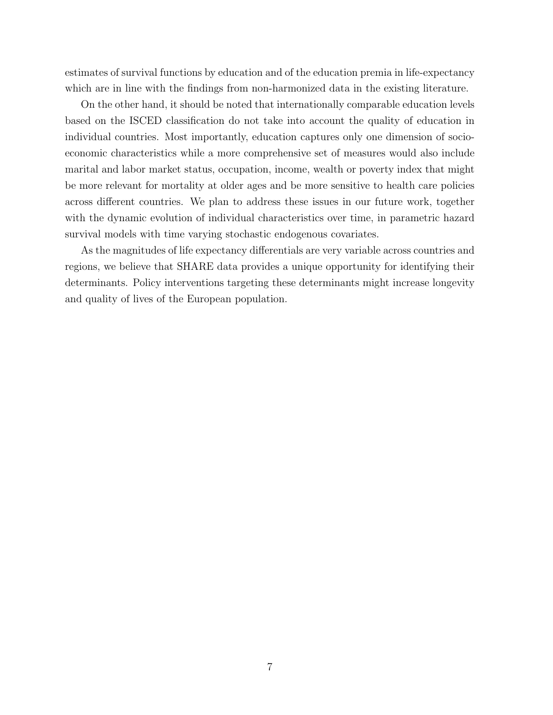estimates of survival functions by education and of the education premia in life-expectancy which are in line with the findings from non-harmonized data in the existing literature.

On the other hand, it should be noted that internationally comparable education levels based on the ISCED classification do not take into account the quality of education in individual countries. Most importantly, education captures only one dimension of socioeconomic characteristics while a more comprehensive set of measures would also include marital and labor market status, occupation, income, wealth or poverty index that might be more relevant for mortality at older ages and be more sensitive to health care policies across different countries. We plan to address these issues in our future work, together with the dynamic evolution of individual characteristics over time, in parametric hazard survival models with time varying stochastic endogenous covariates.

As the magnitudes of life expectancy differentials are very variable across countries and regions, we believe that SHARE data provides a unique opportunity for identifying their determinants. Policy interventions targeting these determinants might increase longevity and quality of lives of the European population.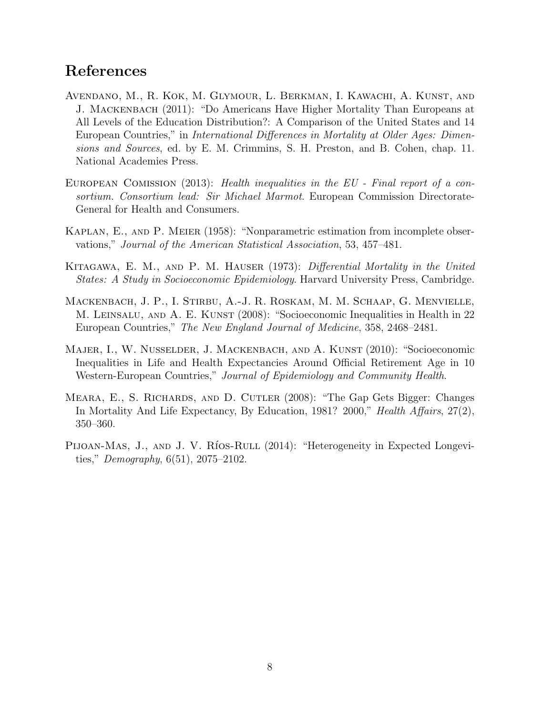### References

- Avendano, M., R. Kok, M. Glymour, L. Berkman, I. Kawachi, A. Kunst, and J. Mackenbach (2011): "Do Americans Have Higher Mortality Than Europeans at All Levels of the Education Distribution?: A Comparison of the United States and 14 European Countries," in International Differences in Mortality at Older Ages: Dimensions and Sources, ed. by E. M. Crimmins, S. H. Preston, and B. Cohen, chap. 11. National Academies Press.
- EUROPEAN COMISSION (2013): Health inequalities in the EU Final report of a consortium. Consortium lead: Sir Michael Marmot. European Commission Directorate-General for Health and Consumers.
- Kaplan, E., and P. Meier (1958): "Nonparametric estimation from incomplete observations," Journal of the American Statistical Association, 53, 457–481.
- KITAGAWA, E. M., AND P. M. HAUSER (1973): Differential Mortality in the United States: A Study in Socioeconomic Epidemiology. Harvard University Press, Cambridge.
- Mackenbach, J. P., I. Stirbu, A.-J. R. Roskam, M. M. Schaap, G. Menvielle, M. LEINSALU, AND A. E. KUNST (2008): "Socioeconomic Inequalities in Health in 22 European Countries," The New England Journal of Medicine, 358, 2468–2481.
- MAJER, I., W. NUSSELDER, J. MACKENBACH, AND A. KUNST (2010): "Socioeconomic Inequalities in Life and Health Expectancies Around Official Retirement Age in 10 Western-European Countries," Journal of Epidemiology and Community Health.
- Meara, E., S. Richards, and D. Cutler (2008): "The Gap Gets Bigger: Changes In Mortality And Life Expectancy, By Education, 1981? 2000," Health Affairs, 27(2), 350–360.
- PIJOAN-MAS, J., AND J. V. RíOS-RULL (2014): "Heterogeneity in Expected Longevities," *Demography*,  $6(51)$ ,  $2075-2102$ .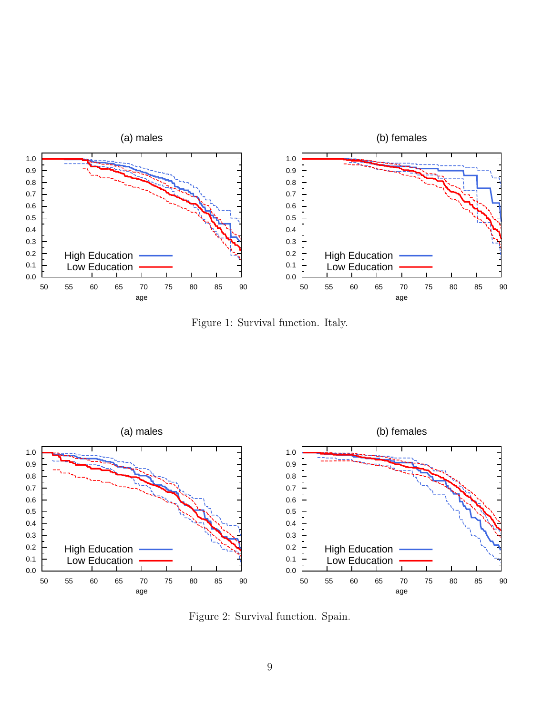

Figure 1: Survival function. Italy.



Figure 2: Survival function. Spain.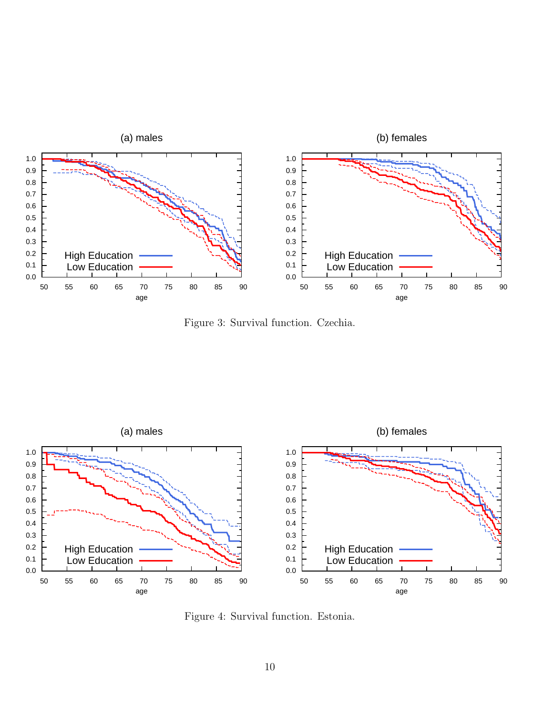

Figure 3: Survival function. Czechia.



Figure 4: Survival function. Estonia.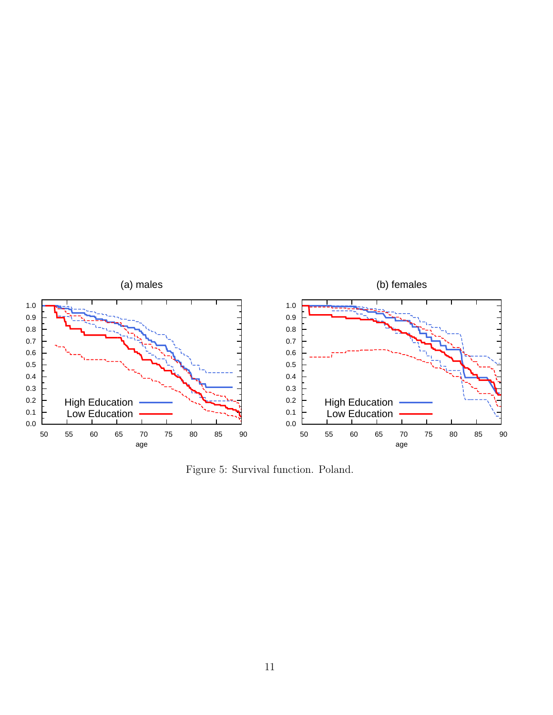

Figure 5: Survival function. Poland.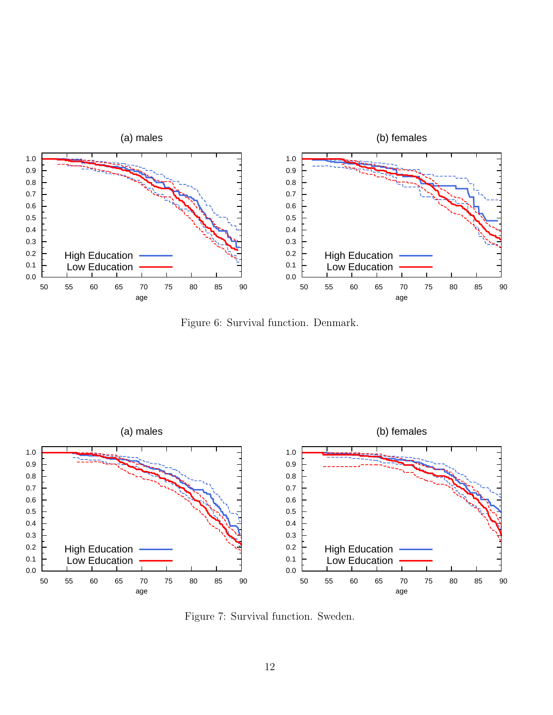

Figure 6: Survival function. Denmark.



Figure 7: Survival function. Sweden.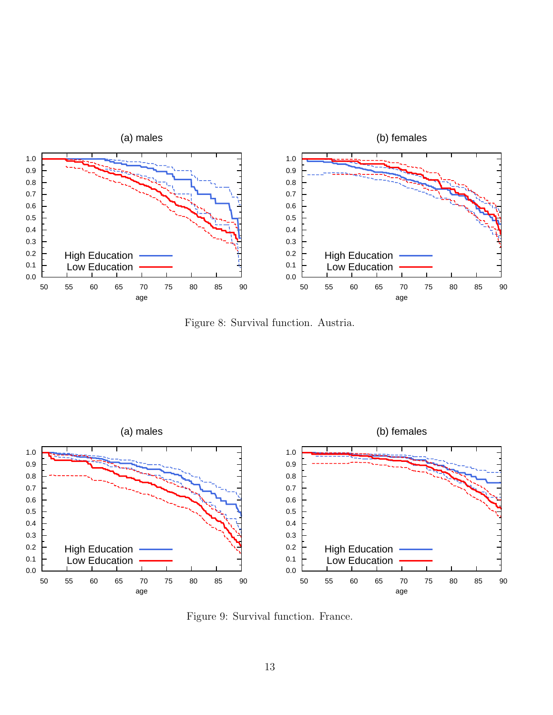

Figure 8: Survival function. Austria.



Figure 9: Survival function. France.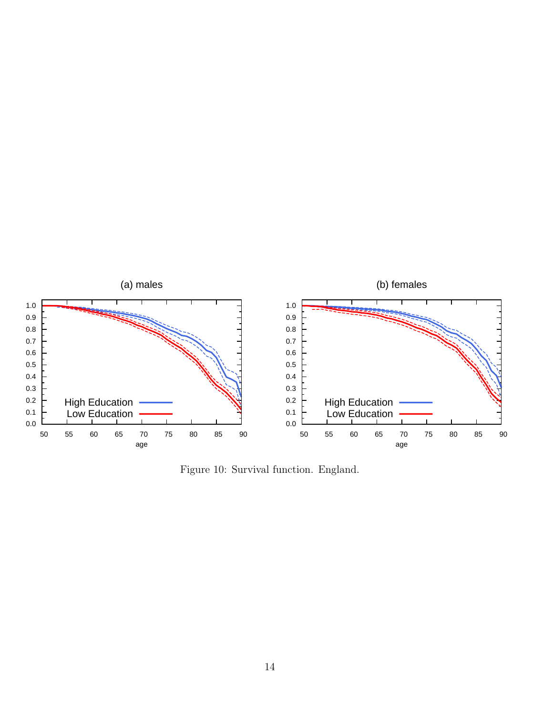

Figure 10: Survival function. England.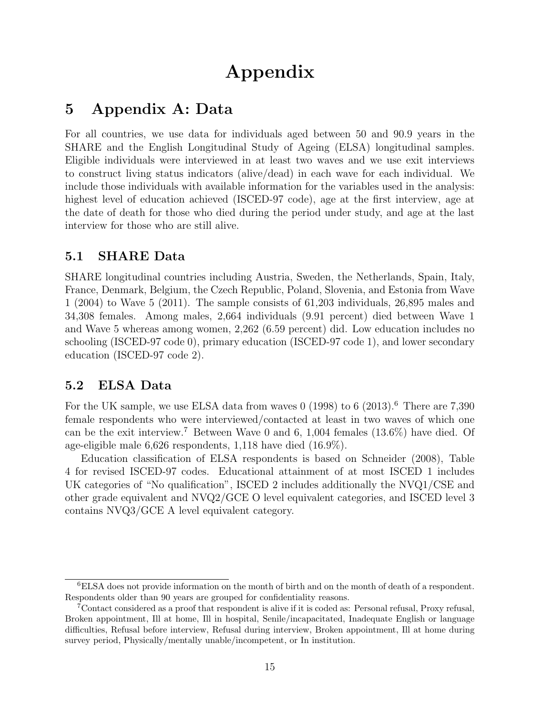## Appendix

### 5 Appendix A: Data

For all countries, we use data for individuals aged between 50 and 90.9 years in the SHARE and the English Longitudinal Study of Ageing (ELSA) longitudinal samples. Eligible individuals were interviewed in at least two waves and we use exit interviews to construct living status indicators (alive/dead) in each wave for each individual. We include those individuals with available information for the variables used in the analysis: highest level of education achieved (ISCED-97 code), age at the first interview, age at the date of death for those who died during the period under study, and age at the last interview for those who are still alive.

#### 5.1 SHARE Data

SHARE longitudinal countries including Austria, Sweden, the Netherlands, Spain, Italy, France, Denmark, Belgium, the Czech Republic, Poland, Slovenia, and Estonia from Wave 1 (2004) to Wave 5 (2011). The sample consists of 61,203 individuals, 26,895 males and 34,308 females. Among males, 2,664 individuals (9.91 percent) died between Wave 1 and Wave 5 whereas among women, 2,262 (6.59 percent) did. Low education includes no schooling (ISCED-97 code 0), primary education (ISCED-97 code 1), and lower secondary education (ISCED-97 code 2).

#### 5.2 ELSA Data

For the UK sample, we use ELSA data from waves  $0$  (1998) to 6 (2013).<sup>6</sup> There are 7,390 female respondents who were interviewed/contacted at least in two waves of which one can be the exit interview.<sup>7</sup> Between Wave 0 and 6, 1,004 females  $(13.6\%)$  have died. Of age-eligible male 6,626 respondents, 1,118 have died (16.9%).

Education classification of ELSA respondents is based on Schneider (2008), Table 4 for revised ISCED-97 codes. Educational attainment of at most ISCED 1 includes UK categories of "No qualification", ISCED 2 includes additionally the NVQ1/CSE and other grade equivalent and NVQ2/GCE O level equivalent categories, and ISCED level 3 contains NVQ3/GCE A level equivalent category.

<sup>6</sup>ELSA does not provide information on the month of birth and on the month of death of a respondent. Respondents older than 90 years are grouped for confidentiality reasons.

<sup>7</sup>Contact considered as a proof that respondent is alive if it is coded as: Personal refusal, Proxy refusal, Broken appointment, Ill at home, Ill in hospital, Senile/incapacitated, Inadequate English or language difficulties, Refusal before interview, Refusal during interview, Broken appointment, Ill at home during survey period, Physically/mentally unable/incompetent, or In institution.